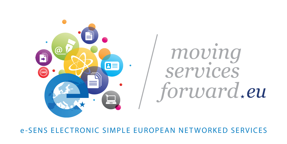## e-SENS ELECTRONIC SIMPLE EUROPEAN NETWORKED SERVICES



# moving services forward, eu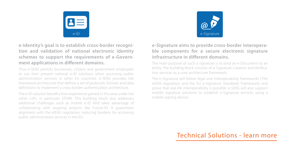



#### **e-Identity's goal is to establish cross-border recognition and validation of national electronic identity schemes to support the requirements of e-Government applications in different domains.**

Thus e-SENS permits businesses, citizens and government employees to use their present national e-ID solutions when accessing public administration services in other EU countries. e-SENS provides the framework architecture that defines a set of protocols, formats and data definitions to implement a cross-border authentication architecture.

The e-ID solution benefits from experience gained in this area under the other LSPs, in particular STORK. This building block also addresses additional challenges such as mobile e-ID And takes advantage of colloborating with ongoing projects like Future-ID. It guarantees alignment with the eIDAS regulation, reducing burdens for accessing public administration services in the EU.

#### **e-Signature aims to provide cross-border interoperable components for a secure electronic signature infrastructure in different domains.**

The main purpose of such a signature is to bind an e-Document to an entity. The building block consists of e-Signature Creation and Verification services as a core architecture framework.

The e-Signature will follow legal and interoperability frameworks (The eIDAS regulation and the EU e-Signature Standards Framework) and prove that real-life interoperability is possible. e-SENS will also support mobile signature solutions to establish e-Signature services using a mobile signing device.

## [Technical Solutions - learn more](http://www.esens.eu/technical-solutions/)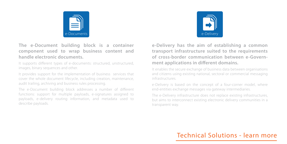

#### **The e-Document building block is a container component used to wrap business content and handle electronic documents.**

It supports different types of e-documents: structured, unstructured, images, binary sequences and other.

It provides support for the implementation of business services that cover the whole document lifecycle, including creation, maintenance, audit trailing, archiving and business rules processing.

The e-Document building block addresses a number of different functions: support for multiple payloads, e-signatures assigned to payloads, e-delivery routing information, and metadata used to describe payloads.



**e-Delivery has the aim of establishing a common transport infrastructure suited to the requirements of cross-border communication between e-Government applications in different domains.**

It enables the secure exchange of business data between organisations and citizens using existing national, sectoral or commercial messaging infrastructures.

e-Delivery is based on the concept of a four-corner model, where end-entities exchange messages via gateway intermediaries.

The e-Delivery infrastructure does not replace existing infrastructures, but aims to interconnect existing electronic delivery communities in a transparent way.

## [Technical Solutions - learn more](http://www.esens.eu/technical-solutions/)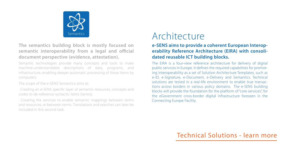

#### **The semantics building block is mostly focused on semantic interoperability from a legal and official document perspective (evidence, attestation).**

Semantic technologies provide many concepts and tools to make machine-understandable descriptions of data, programs, and infrastructure, enabling deeper automatic processing of those items by computers.

The scope of the e-SENS Semantics aims at:

· Creating an e-SENS specific layer of semantic resources, concepts and codes to de-reference syntactic items (terms);

· Creating the services to enable semantic mappings between terms and resources, or between terms. Translations and searches can later be included in this second task.

# Architecture

#### **e-SENS aims to provide a coherent European Interoperability Reference Architecture (EIRA) with consolidated reusable ICT building blocks.**

The EIRA is a four-view reference architecture for delivery of digital public services in Europe. It defines the required capabilities for promoting interoperability as a set of Solution Architecture Templates, such as e-ID, e-Signature, e-Document, e-Delivery and Semantics. Technical solutions are tested in a real-life environment to enable true transactions across borders in various policy domains. The e-SENS building blocks will provide the foundation for the platform of "core services", for the eGovernment cross-border digital infrastructure foreseen in the Connecting Europe Facility.

### [Technical Solutions - learn more](http://www.esens.eu/technical-solutions/)